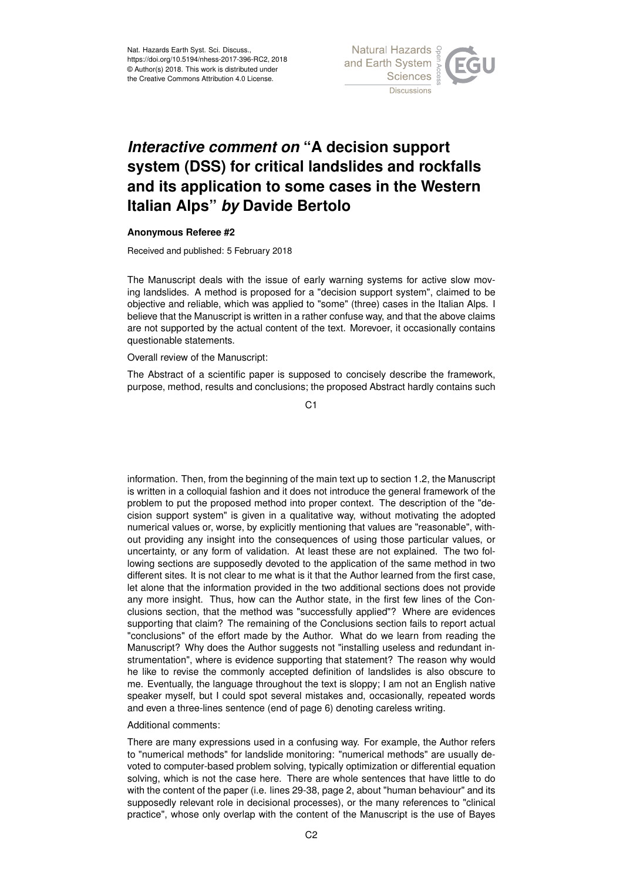

## *Interactive comment on* **"A decision support system (DSS) for critical landslides and rockfalls and its application to some cases in the Western Italian Alps"** *by* **Davide Bertolo**

## **Anonymous Referee #2**

Received and published: 5 February 2018

The Manuscript deals with the issue of early warning systems for active slow moving landslides. A method is proposed for a "decision support system", claimed to be objective and reliable, which was applied to "some" (three) cases in the Italian Alps. I believe that the Manuscript is written in a rather confuse way, and that the above claims are not supported by the actual content of the text. Morevoer, it occasionally contains questionable statements.

Overall review of the Manuscript:

The Abstract of a scientific paper is supposed to concisely describe the framework, purpose, method, results and conclusions; the proposed Abstract hardly contains such

C1

information. Then, from the beginning of the main text up to section 1.2, the Manuscript is written in a colloquial fashion and it does not introduce the general framework of the problem to put the proposed method into proper context. The description of the "decision support system" is given in a qualitative way, without motivating the adopted numerical values or, worse, by explicitly mentioning that values are "reasonable", without providing any insight into the consequences of using those particular values, or uncertainty, or any form of validation. At least these are not explained. The two following sections are supposedly devoted to the application of the same method in two different sites. It is not clear to me what is it that the Author learned from the first case, let alone that the information provided in the two additional sections does not provide any more insight. Thus, how can the Author state, in the first few lines of the Conclusions section, that the method was "successfully applied"? Where are evidences supporting that claim? The remaining of the Conclusions section fails to report actual "conclusions" of the effort made by the Author. What do we learn from reading the Manuscript? Why does the Author suggests not "installing useless and redundant instrumentation", where is evidence supporting that statement? The reason why would he like to revise the commonly accepted definition of landslides is also obscure to me. Eventually, the language throughout the text is sloppy; I am not an English native speaker myself, but I could spot several mistakes and, occasionally, repeated words and even a three-lines sentence (end of page 6) denoting careless writing.

## Additional comments:

There are many expressions used in a confusing way. For example, the Author refers to "numerical methods" for landslide monitoring: "numerical methods" are usually devoted to computer-based problem solving, typically optimization or differential equation solving, which is not the case here. There are whole sentences that have little to do with the content of the paper (i.e. lines 29-38, page 2, about "human behaviour" and its supposedly relevant role in decisional processes), or the many references to "clinical practice", whose only overlap with the content of the Manuscript is the use of Bayes